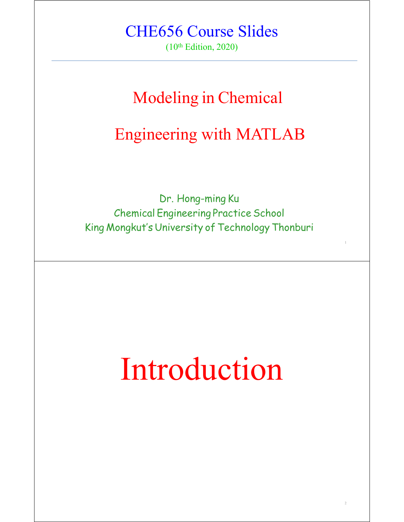#### CHE656 Course Slides

(10th Edition, 2020)

#### Modeling in Chemical

#### Engineering with MATLAB

Dr. Hong-ming Ku Chemical Engineering Practice School King Mongkut's University of Technology Thonburi

# Introduction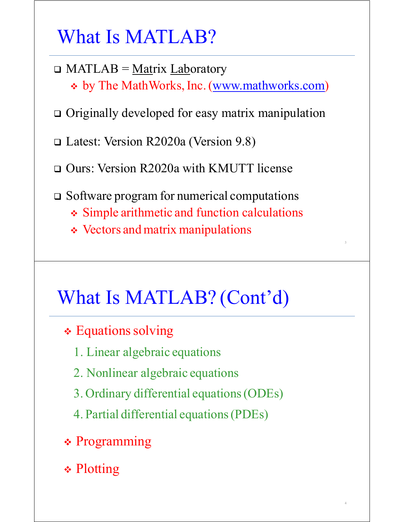What Is MATLAB?

- $\Box$  MATLAB = Matrix Laboratory \* by The MathWorks, Inc. (www.mathworks.com)
- □ Originally developed for easy matrix manipulation
- Latest: Version R2020a (Version 9.8)
- Ours: Version R2020a with KMUTT license
- $\Box$  Software program for numerical computations
	- Simple arithmetic and function calculations

3

4

Vectors and matrix manipulations

#### What Is MATLAB? (Cont'd)

- **∻ Equations solving** 
	- 1. Linear algebraic equations
	- 2. Nonlinear algebraic equations
	- 3. Ordinary differential equations(ODEs)
	- 4. Partial differential equations(PDEs)
- \* Programming
- **∻ Plotting**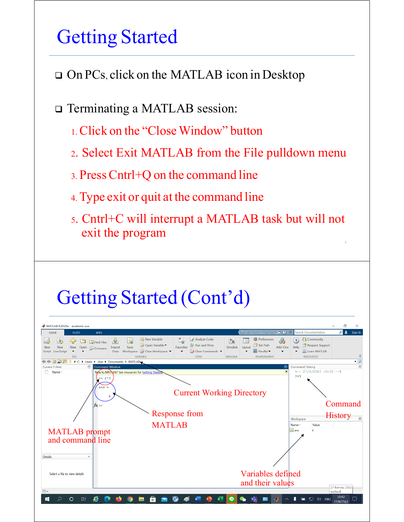### Getting Started

□ On PCs, click on the MATLAB icon in Desktop

□ Terminating a MATLAB session:

- 1. Click on the "Close Window" button
- 2. Select Exit MATLAB from the File pulldown menu
- 3. PressCntrl+Q on the command line
- 4. Type exit or quit at the command line
- 5. Cntrl+C will interrupt a MATLAB task but will not exit the program 5

### Getting Started (Cont'd)

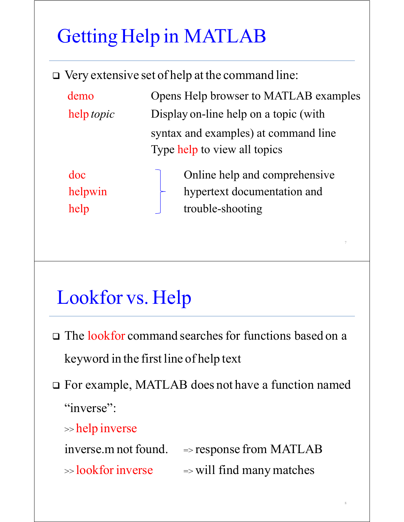# Getting Help in MATLAB

Very extensive set of help at the command line:

| demo              | Opens Help browser to MATLAB examples |
|-------------------|---------------------------------------|
| help <i>topic</i> | Display on-line help on a topic (with |
|                   | syntax and examples) at command line  |
|                   | Type help to view all topics          |
|                   |                                       |

doc Online help and comprehensive helpwin hypertext documentation and help trouble-shooting

7

8

# Lookfor vs. Help

- □ The lookfor command searches for functions based on a keyword in the first line of help text
- For example, MATLAB does not have a function named "inverse":

>> help inverse

 $inverse.m not found.$   $\Rightarrow$  response from MATLAB  $\gg$  lookfor inverse  $\qquad$   $\Rightarrow$  will find many matches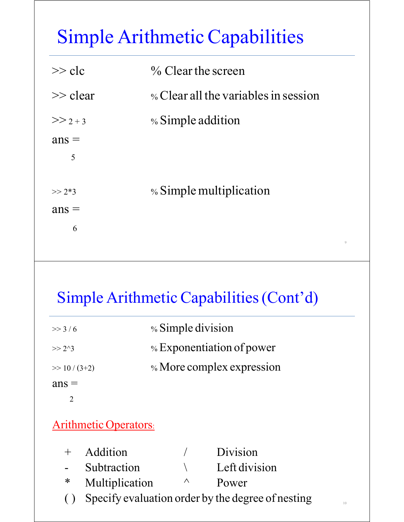# Simple Arithmetic Capabilities

| $\gg$ clc   | $\%$ Clear the screen                |
|-------------|--------------------------------------|
| $\gg$ clear | % Clear all the variables in session |
| $>> 2 + 3$  | % Simple addition                    |
| $ans =$     |                                      |
| 5           |                                      |
|             |                                      |
| $>> 2*3$    | % Simple multiplication              |
| $ans =$     |                                      |
| 6           |                                      |
|             |                                      |

#### Simple Arithmetic Capabilities(Cont'd)

9

| $>>$ 3/6         | % Simple division         |
|------------------|---------------------------|
| $>> 2^{\wedge}3$ | % Exponentiation of power |
| $\gg 10/(3+2)$   | % More complex expression |
| $ans =$          |                           |
|                  |                           |

#### Arithmetic Operators:

| + Addition       |          | Division                                             |    |
|------------------|----------|------------------------------------------------------|----|
| - Subtraction    |          | Left division                                        |    |
| * Multiplication | $\wedge$ | Power                                                |    |
|                  |          | () Specify evaluation order by the degree of nesting | 10 |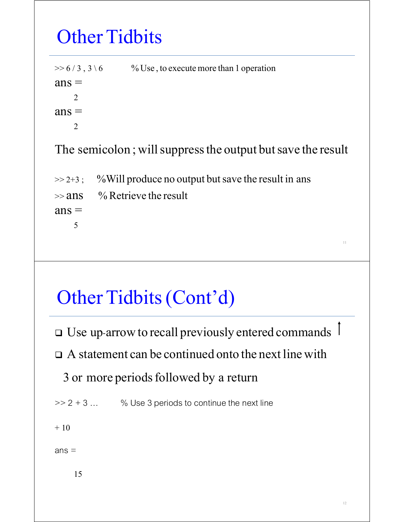# **Other Tidbits**

| $>> 6/3, 3\backslash 6$ | % Use, to execute more than 1 operation                     |
|-------------------------|-------------------------------------------------------------|
| $ans =$                 |                                                             |
| $\overline{2}$          |                                                             |
| $ans =$                 |                                                             |
| $\overline{2}$          |                                                             |
|                         | The semicolon; will suppress the output but save the result |
| $>> 2 + 3$ ;            | % Will produce no output but save the result in ans         |
|                         | $\gg$ ans $\%$ Retrieve the result                          |
| $ans =$                 |                                                             |

5

# Other Tidbits(Cont'd)

 $\Box$  Use up-arrow to recall previously entered commands  $\Box$ 

 $\Box$  A statement can be continued onto the next line with

3 or more periods followed by a return

 $>> 2 + 3 ...$  % Use 3 periods to continue the next line

 $+10$ 

 $ans =$ 

15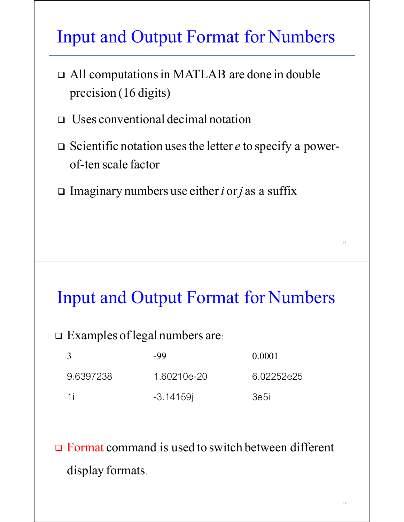#### Input and Output Format for Numbers

- All computationsin MATLAB are done in double precision (16 digits)
- Uses conventional decimal notation
- □ Scientific notation uses the letter *e* to specify a powerof-ten scale factor
- Imaginary numbers use either*i* or*j* as a suffix

#### Input and Output Format for Numbers

 $\square$  Examples of legal numbers are:

| $\mathcal{R}$ | -99          | 0.0001     |
|---------------|--------------|------------|
| 96397238      | 1.60210e-20  | 6.02252e25 |
| 1i            | $-3.14159$ i | 3e5i       |

**□ Format command is used to switch between different** display formats.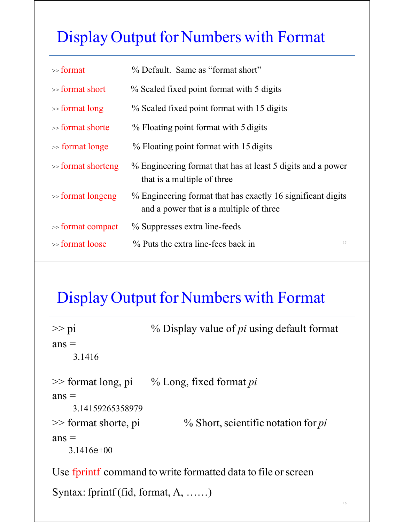#### Display Output for Numbers with Format

| $\gg$ format          | % Default. Same as "format short"                                                                      |
|-----------------------|--------------------------------------------------------------------------------------------------------|
| $\gg$ format short    | % Scaled fixed point format with 5 digits                                                              |
| $\gg$ format long     | % Scaled fixed point format with 15 digits                                                             |
| $\gg$ format shorte   | % Floating point format with 5 digits                                                                  |
| $\gg$ format longe    | % Floating point format with 15 digits                                                                 |
| $\gg$ format shorteng | % Engineering format that has at least 5 digits and a power<br>that is a multiple of three             |
| $\gg$ format longeng  | % Engineering format that has exactly 16 significant digits<br>and a power that is a multiple of three |
| $\gg$ format compact  | % Suppresses extra line-feeds                                                                          |
| $\gg$ format loose    | % Puts the extra line-fees back in<br>15                                                               |

#### Display Output for Numbers with Format

| $>> p_1$                | % Display value of <i>pi</i> using default format |
|-------------------------|---------------------------------------------------|
| $ans =$                 |                                                   |
| 3.1416                  |                                                   |
| $\gg$ format long, pi   | % Long, fixed format <i>pi</i>                    |
| $ans =$                 |                                                   |
| 3.14159265358979        |                                                   |
| $\gg$ format shorte, pi | $%$ Short, scientific notation for $pi$           |
| $ans =$                 |                                                   |
| $3.1416e+00$            |                                                   |
|                         |                                                   |

Use fprintf command to write formatted data to file or screen

Syntax: fprintf(fid, format, A, ......)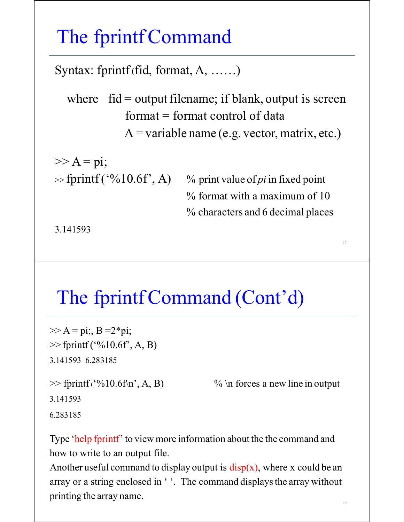#### The fprintfCommand

Syntax: fprintf (fid, format, A, ……)

where  $\hat{\text{fid}} = \text{output filename}$ ; if blank, output is screen  $format = format control of data$  $A = \text{variable name} (e.g. vector, matrix, etc.)$ 

 $\gg A = \pi i;$ 

 $\gg$  fprintf ('%10.6f', A) % print value of *pi* in fixed point % format with a maximum of 10 % characters and 6 decimal places

17

3.141593

#### The fprintf Command (Cont'd)

```
>> A = \pi i; B = 2*pi;
\gg fprintf ('%10.6f', A, B)
3.141593 6.283185
\gg fprintf ('%10.6f\n', A, B) % \n forces a new line in output
3.141593
6.283185
```
Type 'help fprintf' to view more information about the the command and how to write to an output file.

Another useful command to display output is  $\frac{disp(x)}{sup(y)}$ , where x could be an array or a string enclosed in ''. The command displays the array without printing the array name.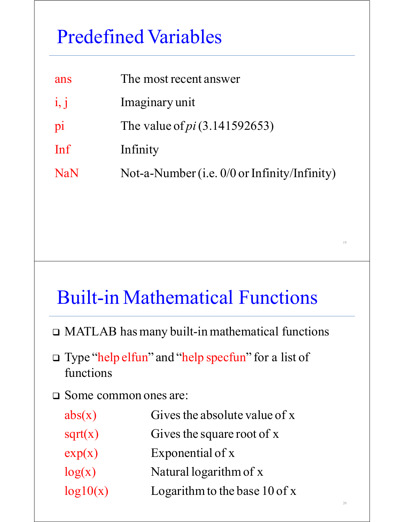# Predefined Variables

| ans        | The most recent answer                         |
|------------|------------------------------------------------|
| i, j       | Imaginary unit                                 |
| pi         | The value of <i>pi</i> $(3.141592653)$         |
| Inf        | Infinity                                       |
| <b>NaN</b> | Not-a-Number (i.e. $0/0$ or Infinity/Infinity) |
|            |                                                |

#### Built-in Mathematical Functions

19

- MATLAB has many built-in mathematical functions
- Type "help elfun" and "help specfun" for a list of functions
- Some common ones are:

| abs(x)   | Gives the absolute value of x   |
|----------|---------------------------------|
| sqrt(x)  | Gives the square root of x      |
| exp(x)   | Exponential of x                |
| log(x)   | Natural logarithm of x          |
| log10(x) | Logarithm to the base $10$ of x |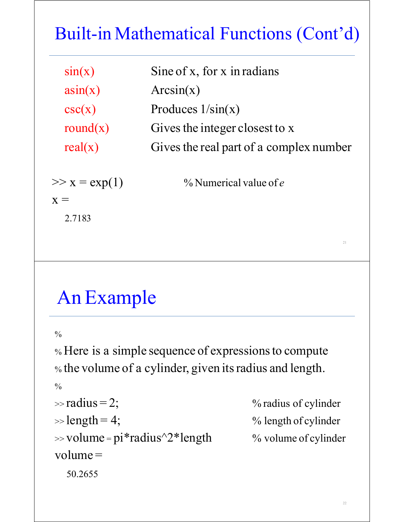### Built-in Mathematical Functions (Cont'd)

| sin(x)          | Sine of x, for x in radians             |
|-----------------|-----------------------------------------|
| asin(x)         | Arcsin(x)                               |
| csc(x)          | Produces $1/\sin(x)$                    |
| round $(x)$     | Gives the integer closest to x          |
| real(x)         | Gives the real part of a complex number |
| $>> x = exp(1)$ | $%$ Numerical value of e                |
|                 |                                         |

### An Example

 $\frac{0}{0}$ 

2.7183

% Here is a simple sequence of expressions to compute % the volume of a cylinder, given itsradius and length.

```
\frac{0}{0}
```

```
\gg radius = 2; \% radius of cylinder
\gg length = 4; \% length of cylinder
```
 $\gg$  volume = pi\*radius^2\*length % volume of cylinder

 $volume =$ 

50.2655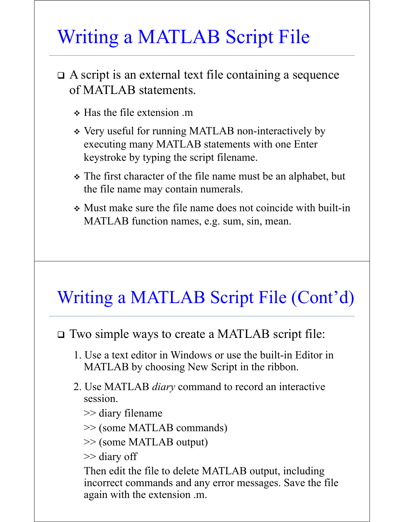# Writing a MATLAB Script File

- A script is an external text file containing a sequence of MATLAB statements.
	- $\div$  Has the file extension .m
	- Very useful for running MATLAB non-interactively by executing many MATLAB statements with one Enter keystroke by typing the script filename.
	- The first character of the file name must be an alphabet, but the file name may contain numerals.
	- Must make sure the file name does not coincide with built-in MATLAB function names, e.g. sum, sin, mean.

#### Writing a MATLAB Script File (Cont'd)

#### Two simple ways to create a MATLAB script file:

- 1. Use a text editor in Windows or use the built-in Editor in MATLAB by choosing New Script in the ribbon.
- 2. Use MATLAB *diary* command to record an interactive session.
	- >> diary filename
	- >> (some MATLAB commands)

>> (some MATLAB output)

>> diary off

Then edit the file to delete MATLAB output, including incorrect commands and any error messages. Save the file again with the extension .m.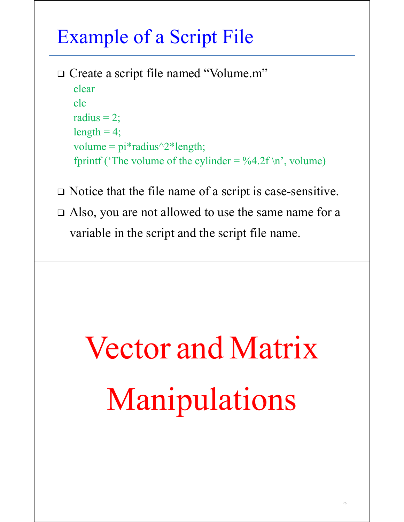# Example of a Script File

- □ Create a script file named "Volume.m" clear clc radius  $= 2$ ;  $length = 4;$ volume =  $pi*$ radius $\frac{\gamma*}{2*}$ length; fprintf ('The volume of the cylinder =  $\%4.2f \n\mid n$ ', volume)
- Notice that the file name of a script is case-sensitive.
- Also, you are not allowed to use the same name for a variable in the script and the script file name.

# Vector and Matrix Manipulations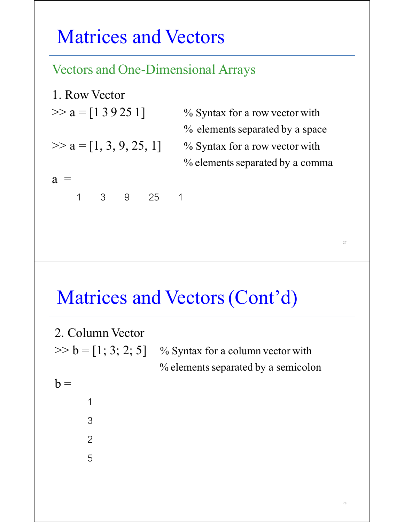#### Matrices and Vectors

#### Vectors and One-Dimensional Arrays

1. Row Vector  $\gg$  a =  $\lceil 1 \cdot 3 \cdot 9 \cdot 25 \cdot 1 \rceil$  % Syntax for a row vector with  $\gg$  a =  $[1, 3, 9, 25, 1]$  % Syntax for a row vector with  $a =$ 1 3 9 25 1

% elements separated by a space

% elements separated by a comma

#### Matrices and Vectors (Cont'd)

2. Column Vector  $>> b = [1; 3; 2; 5]$  % Syntax for a column vector with % elements separated by a semicolon  $b =$  1 3 2 5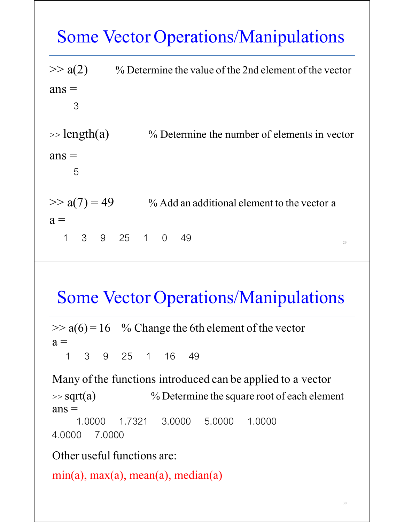$\gg$  a(2) % Determine the value of the 2nd element of the vector  $ans =$  3  $\Rightarrow$  length(a)  $\%$  Determine the number of elements in vector  $ans =$  5  $\gg$  a(7) = 49 % Add an additional element to the vector a  $a =$  $1 \quad 3 \quad 9 \quad 25 \quad 1 \quad 0 \quad 49$ 

#### Some Vector Operations/Manipulations

 $\gg$  a(6) = 16 % Change the 6th element of the vector  $a =$ 

1 3 9 25 1 16 49

Many of the functions introduced can be applied to a vector  $\gg$  sqrt(a)  $\%$  Determine the square root of each element  $ans =$  1.0000 1.7321 3.0000 5.0000 1.0000 4.0000 7.0000

Other useful functions are:

min(a), max(a), mean(a), median(a)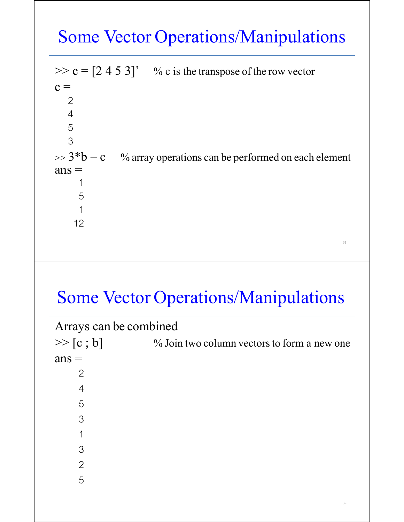$>> c = [2 4 5 3]'$  % c is the transpose of the row vector  $c =$  2 4 5 3  $\Rightarrow$  3<sup>\*</sup>b – c % array operations can be performed on each element  $ans =$  $\overline{\phantom{a}}$  5  $\overline{\phantom{a}}$ 12

#### Some Vector Operations/Manipulations

| Arrays can be combined |                                             |
|------------------------|---------------------------------------------|
| >> [c ; b]             | % Join two column vectors to form a new one |
| $ans =$                |                                             |
| $\overline{2}$         |                                             |
| 4                      |                                             |
| 5                      |                                             |
| 3                      |                                             |
| 1                      |                                             |
| 3                      |                                             |
| 2                      |                                             |
| 5                      |                                             |
|                        |                                             |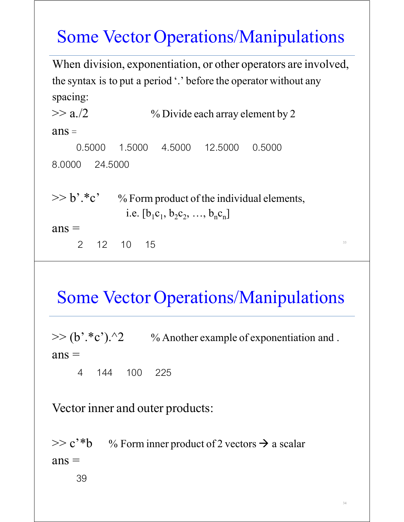When division, exponentiation, or other operators are involved, the syntax is to put a period '.' before the operator without any spacing:  $>> a$ ./2 % Divide each array element by 2

 $ans =$  0.5000 1.5000 4.5000 12.5000 0.5000 8.0000 24.5000

 $>> b$ <sup>\*</sup>.\*c' % Form product of the individual elements, i.e.  $[b_1c_1, b_2c_2, ..., b_nc_n]$ 

 $ans =$ 

 $2 \t 12 \t 10 \t 15$ 

#### Some Vector Operations/Manipulations

 $>> (b'.*c').$ <sup>2</sup> % Another example of exponentiation and .  $ans =$ 

4 144 100 225

Vector inner and outer products:

 $>> c$ <sup>\*</sup>b % Form inner product of 2 vectors  $\rightarrow$  a scalar  $ans =$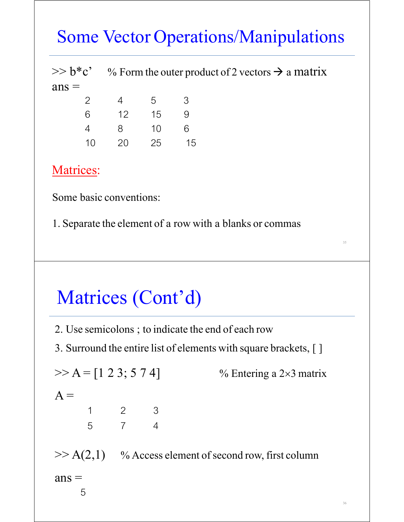|         | $\gg b^*c^*$ % Form the outer product of 2 vectors $\rightarrow$ a matrix |  |  |  |  |
|---------|---------------------------------------------------------------------------|--|--|--|--|
| $ans =$ |                                                                           |  |  |  |  |
|         | 2 4 5 3                                                                   |  |  |  |  |

| 6  | 12 <sup>°</sup> | 15 | 9  |
|----|-----------------|----|----|
| Δ. | 8.              | 10 | 6. |
| 10 | 20              | 25 | 15 |

#### Matrices:

Some basic conventions:

1. Separate the element of a row with a blanks or commas

# Matrices (Cont'd)

2. Use semicolons ; to indicate the end of each row

3. Surround the entire list of elements with square brackets, [ ]

 $>> A = [1 \ 2 \ 3; 5 \ 7 \ 4]$  % Entering a 2×3 matrix  $A =$ 123 574  $>> A(2,1)$  % Access element of second row, first column  $ans =$ 5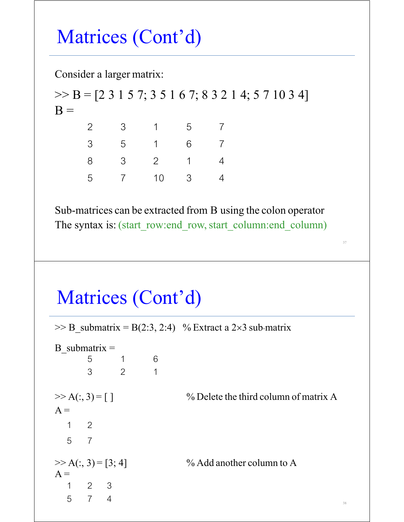# Matrices (Cont'd)

Consider a larger matrix:

 $>>$  B = [2 3 1 5 7; 3 5 1 6 7; 8 3 2 1 4; 5 7 10 3 4]  $B =$  23157 35167 83214 5 7 10 3 4

Sub-matrices can be extracted from B using the colon operator The syntax is: (start row:end row, start column:end column)

37

# Matrices (Cont'd)

 $>>$  B submatrix = B(2:3, 2:4) % Extract a 2×3 sub-matrix B submatrix  $=$  $-$  5 1 6 321  $>> A(:, 3) = [ ]$  % Delete the third column of matrix A  $A =$ 1 2 5 7  $\gg$  A(:, 3) = [3; 4] % Add another column to A  $A =$ 1 2 3  $5 \t 7 \t 4$  38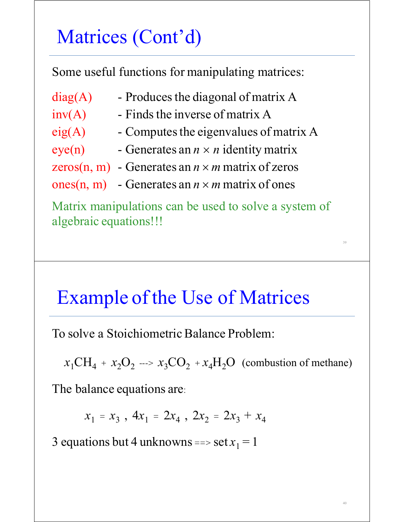# Matrices (Cont'd)

Some useful functions for manipulating matrices:

- $diag(A)$  Produces the diagonal of matrix A
- $inv(A)$  Finds the inverse of matrix A
- $eig(A)$  Computes the eigenvalues of matrix A
- eye(n) Generates an  $n \times n$  identity matrix
- zeros(n, m) Generates an  $n \times m$  matrix of zeros
- ones(n, m) Generates an  $n \times m$  matrix of ones

Matrix manipulations can be used to solve a system of algebraic equations!!!

39

40

#### Example of the Use of Matrices

To solve a Stoichiometric Balance Problem:

 $x_1CH_4 + x_2O_2 \longrightarrow x_3CO_2 + x_4H_2O$  (combustion of methane)

The balance equations are:

 $x_1 = x_3$ ,  $4x_1 = 2x_4$ ,  $2x_2 = 2x_3 + x_4$ 

3 equations but 4 unknowns ==> set  $x_1 = 1$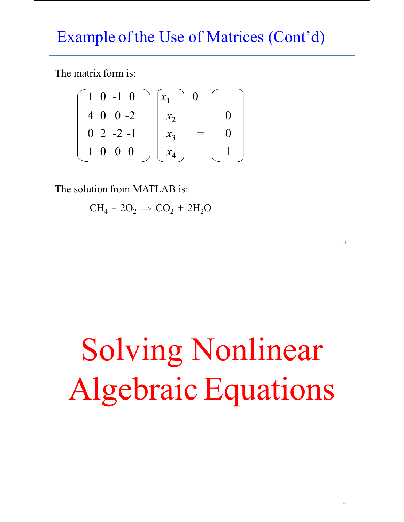#### Example of the Use of Matrices (Cont'd)

The matrix form is:

$$
\begin{bmatrix} 1 & 0 & -1 & 0 \\ 4 & 0 & 0 & -2 \\ 0 & 2 & -2 & -1 \\ 1 & 0 & 0 & 0 \end{bmatrix} \begin{bmatrix} x_1 \\ x_2 \\ x_3 \\ x_4 \end{bmatrix} = \begin{bmatrix} 0 \\ 0 \\ 0 \\ 1 \end{bmatrix}
$$

The solution from MATLAB is:

 $CH_4 + 2O_2 \longrightarrow CO_2 + 2H_2O$ 

# Solving Nonlinear Algebraic Equations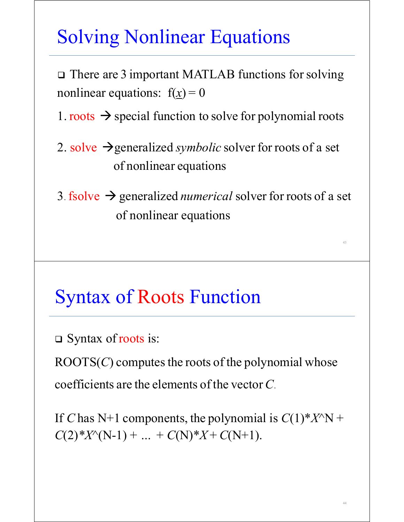# Solving Nonlinear Equations

□ There are 3 important MATLAB functions for solving nonlinear equations:  $f(x) = 0$ 

1. roots  $\rightarrow$  special function to solve for polynomial roots

- 2. solve  $\rightarrow$  generalized *symbolic* solver for roots of a set of nonlinear equations
- 3. fsolve  $\rightarrow$  generalized *numerical* solver for roots of a set of nonlinear equations

#### Syntax of Roots Function

□ Syntax of roots is:

ROOTS $(C)$  computes the roots of the polynomial whose coefficients are the elements of the vector *C*.

If *C* has N+1 components, the polynomial is  $C(1)$ \* $X^{\wedge}N$  +  $C(2)$ \* $X^{\wedge}(N-1)$  + *…* +  $C(N)$ \* $X$ +  $C(N+1)$ .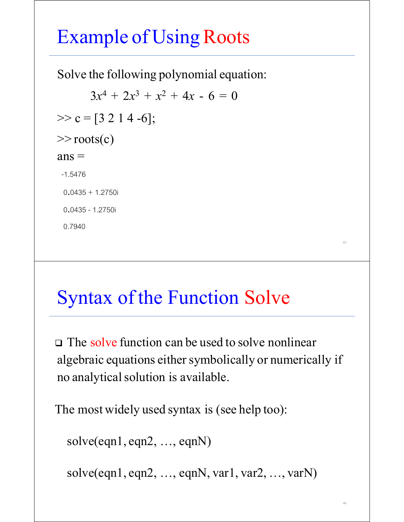# Example of Using Roots

Solve the following polynomial equation:

 $3x^4 + 2x^3 + x^2 + 4x - 6 = 0$  $\gg$  c = [3 2 1 4 -6];  $\gg$  roots(c)  $ans =$  -1.5476 0.0435 + 1.2750i 0.0435 - 1.2750i

0.7940

#### **Syntax of the Function Solve**

 $\Box$  The solve function can be used to solve nonlinear algebraic equations either symbolically or numerically if no analytical solution is available.

45

46

The most widely used syntax is (see help too):

solve(eqn1, eqn2, …, eqnN)

```
solve(eqn1, eqn2, …, eqnN, var1, var2, …, varN)
```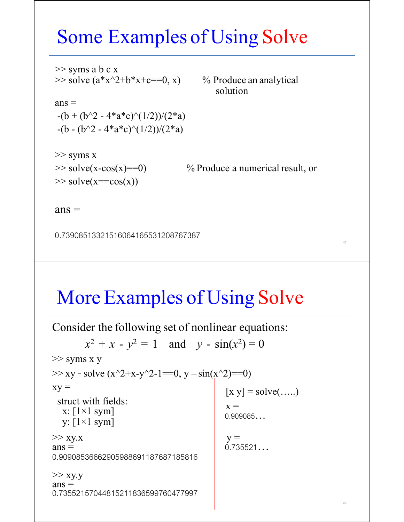#### Some Examples of Using Solve

 $\Rightarrow$  syms a b c x<br> $\Rightarrow$  solve (a\*x^2+b\*x+c==0, x) % Produce an analytical

solution

 $ans =$  $-(b + (b^2 - 4*a*c)^(1/2))/(2*a)$  $-(b - (b^2 - 4*a*c)^(1/2))/(2*a)$ 

>> syms x  $\gg$  solve(x==cos(x))

 $\gg$  solve(x-cos(x)==0) % Produce a numerical result, or

48

 $ans =$ 

0.73908513321516064165531208767387 <sup>47</sup>

#### More Examples of Using Solve

Consider the following set of nonlinear equations:  $x^2 + x - y^2 = 1$  and  $y - \sin(x^2) = 0$ >> syms x y  $\Rightarrow$  xy = solve  $(x^2+x-y^2-1==0, y - sin(x^2) == 0)$  $xy =$  [x y] = solve(.....) struct with fields:<br> $x: [1\times1$  sym] x:  $x = x : [1 \times 1 \text{ sym}]$ <br>y:  $[1 \times 1 \text{ sym}]$  x = 0.909085...  $>> xy.x$   $y =$ <br>ans = 0.735521...  $ans =$ <br>0.90908536662905988691187687185816  $>>$  xy.y  $ans =$ 0.73552157044815211836599760477997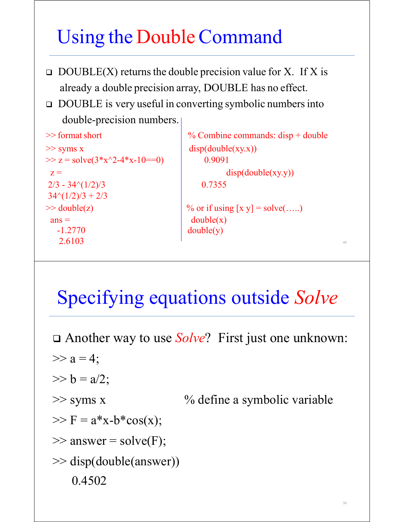# Using the DoubleCommand

- $\Box$  DOUBLE(X) returns the double precision value for X. If X is already a double precision array, DOUBLE has no effect.
- □ DOUBLE is very useful in converting symbolic numbers into double-precision numbers.

```
\Rightarrow syms x disp(double(xy.x))
>> z = solve(3*x^2-4*x-10==0) 0.9091
 z = disp(double(xy.y))
2/3 - 34\sqrt{1/2}/3 0.7355
34\cdot(1/2)/3 + 2/3\Rightarrow double(z) \qquad \qquad \qquad \qquad \qquad \qquad \qquad \qquad \qquad \qquad \qquad \qquad \qquad \qquad \qquad \qquad \qquad \qquad \qquad \qquad \qquad \qquad \qquad \qquad \qquad \qquad \qquad \qquad \qquad \qquad \qquad \qquad \qquad \qquad \ans = double(x)
  -1.2770 double(y)
2.6103 49
```

```
\ge format short \frac{1}{2} % Combine commands: disp + double
```

```
Specifying equations outside Solve
```
 Another way to use *Solve*? First just one unknown:  $>> a = 4$ ;  $>> b = a/2;$  $\gg$  syms x  $\%$  define a symbolic variable  $>> F = a * x-b * cos(x);$  $\gg$  answer = solve(F); >> disp(double(answer)) 0.4502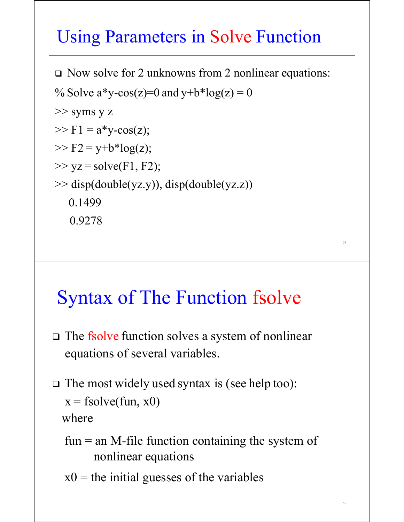#### Using Parameters in Solve Function

□ Now solve for 2 unknowns from 2 nonlinear equations:

```
% Solve a^*y\text{-cos}(z)=0 and y+b^*log(z)=0>> syms y z
>> F1 = a *y-cos(z);>> F2 = y + b * log(z);\gg yz = solve(F1, F2);
>> disp(double(yz.y)), disp(double(yz.z))
    0.1499
   0.9278
```
#### Syntax of The Function fsolve

- □ The fsolve function solves a system of nonlinear equations of several variables.
- $\Box$  The most widely used syntax is (see help too):  $x = fsolve(fun, x0)$ where
	- $fun = an M$ -file function containing the system of nonlinear equations
	- $x0$  = the initial guesses of the variables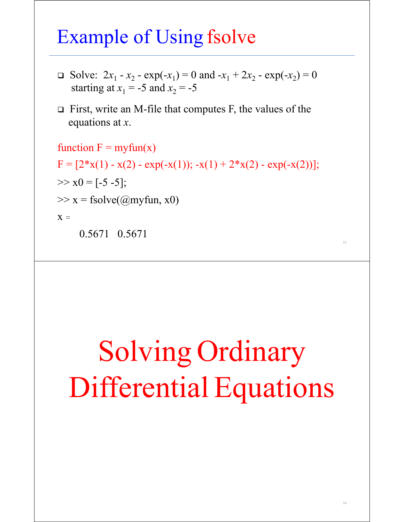#### Example of Using fsolve

- Solve:  $2x_1 x_2 \exp(-x_1) = 0$  and  $-x_1 + 2x_2 \exp(-x_2) = 0$ starting at  $x_1 = -5$  and  $x_2 = -5$
- $\Box$  First, write an M-file that computes F, the values of the equations at *x*.

function  $F = myfun(x)$  $F = [2*x(1) - x(2) - exp(-x(1)); -x(1) + 2*x(2) - exp(-x(2))];$  $>> x0 = [-5 -5];$  $\gg$  x = fsolve( $(\omega$ myfun, x0)  $X =$ 

 $0.5671$   $0.5671$ 

# Solving Ordinary Differential Equations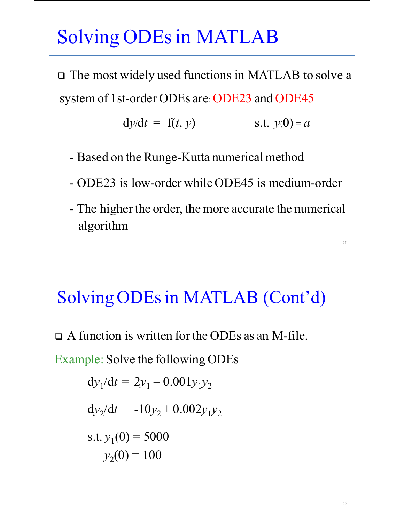# Solving ODEs in MATLAB

 The most widely used functions in MATLAB to solve a system of 1st-order ODEs are: ODE23 and ODE45

$$
dy/dt = f(t, y)
$$
 s.t.  $y(0) = a$ 

- Based on the Runge-Kutta numerical method

- ODE23 is low-order while ODE45 is medium-order

- The higher the order, the more accurate the numerical algorithm

#### Solving ODEs in MATLAB (Cont'd)

A function is written for the ODEs as an M-file.

Example: Solve the following ODEs

$$
dy_1/dt = 2y_1 - 0.001y_1y_2
$$

$$
dy_2/dt = -10y_2 + 0.002y_1y_2
$$

s.t.  $y_1(0) = 5000$  $y_2(0) = 100$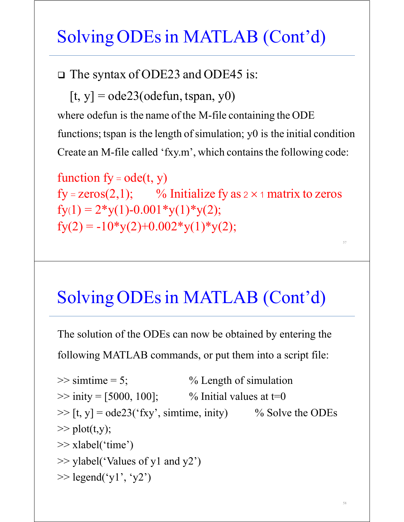#### Solving ODEs in MATLAB (Cont'd)

The syntax of ODE23 and ODE45 is:

 $[t, y] = ode23(odefun, tspan, y0)$ 

where odefun is the name of the M-file containing the ODE

functions; tspan is the length of simulation;  $y0$  is the initial condition Create an M-file called 'fxy.m', which contains the following code:

function  $fy = ode(t, y)$ fy = zeros(2,1); % Initialize fy as  $2 \times 1$  matrix to zeros  $fy(1) = 2*y(1)-0.001*y(1)*y(2);$  $fy(2) = -10*y(2)+0.002*y(1)*y(2);$ 

#### Solving ODEs in MATLAB (Cont'd)

The solution of the ODEs can now be obtained by entering the

following MATLAB commands, or put them into a script file:

```
\gg simtime = 5; \% Length of simulation
\gg inity = [5000, 100]; % Initial values at t=0
\gg [t, y] = ode23('fxy', simtime, inity) % Solve the ODEs
\gg plot(t,y);
>> xlabel('time')
\gg ylabel('Values of y1 and y2')
\gg legend('y1', 'y2')
```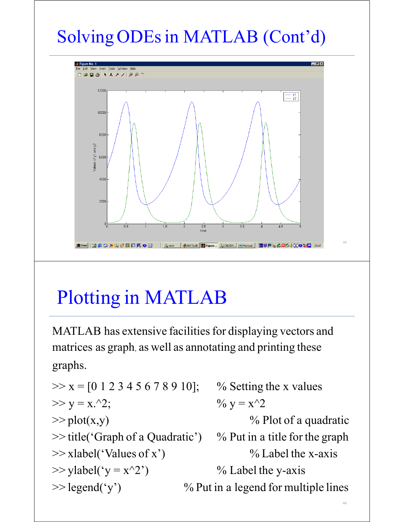# Solving ODEs in MATLAB (Cont'd)



# Plotting in MATLAB

MATLAB has extensive facilities for displaying vectors and matrices as graph, as well as annotating and printing these graphs.

 $>> x = [0 1 2 3 4 5 6 7 8 9 10];$  % Setting the x values  $>> y = x.^2;$  %  $y = x^2$  $\gg$  plot(x,y)  $\%$  Plot of a quadratic  $\gg$  title('Graph of a Quadratic') % Put in a title for the graph  $\gg$  xlabel('Values of x') % Label the x-axis  $\gg$  ylabel('y = x^2') % Label the y-axis  $\gg$  legend('y') % Put in a legend for multiple lines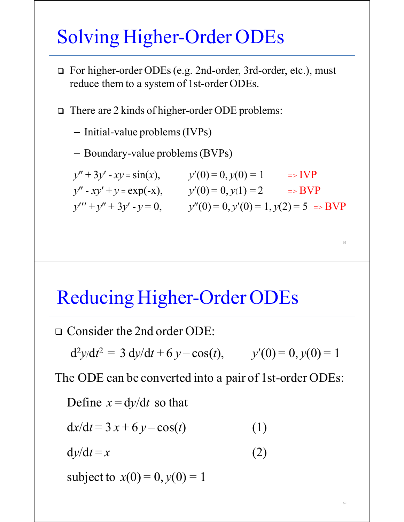### Solving Higher-Order ODEs

 For higher-order ODEs(e.g. 2nd-order, 3rd-order, etc.), must reduce them to a system of 1st-order ODEs.

□ There are 2 kinds of higher-order ODE problems:

– Initial-value problems(IVPs)

– Boundary-value problems(BVPs)

| $y'' + 3y' - xy = sin(x),$   | $y'(0)=0, y(0)=1$                                 | $\Rightarrow IVP$ |
|------------------------------|---------------------------------------------------|-------------------|
| $y'' - xy' + y = \exp(-x),$  | $y'(0) = 0, y(1) = 2$                             | $\Rightarrow$ BVP |
| $y''' + y'' + 3y' - y = 0$ , | $y''(0) = 0, y'(0) = 1, y(2) = 5 \Rightarrow BVP$ |                   |

#### Reducing Higher-Order ODEs

Consider the 2nd order ODE:

 $d^2y/dt^2 = 3 dy/dt + 6 y - cos(t),$   $y'(0) = 0, y(0) = 1$ 

The ODE can be converted into a pair of 1st-order ODEs:

Define  $x = dy/dt$  so that

$$
dx/dt = 3x + 6y - cos(t)
$$
 (1)

 $dy/dt = x$  (2)

subject to  $x(0) = 0, y(0) = 1$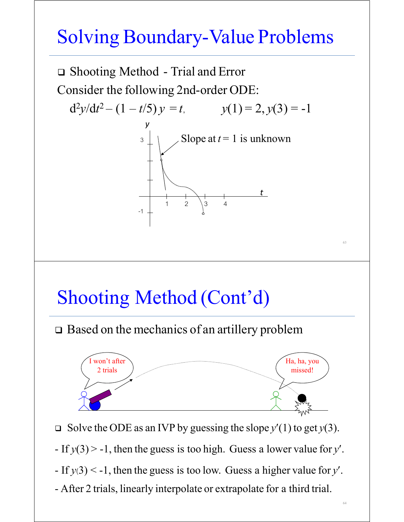# Solving Boundary-Value Problems



- $-F(y(3) < -1$ , then the guess is too low. Guess a higher value for *y'*.
- After 2 trials, linearly interpolate or extrapolate for a third trial.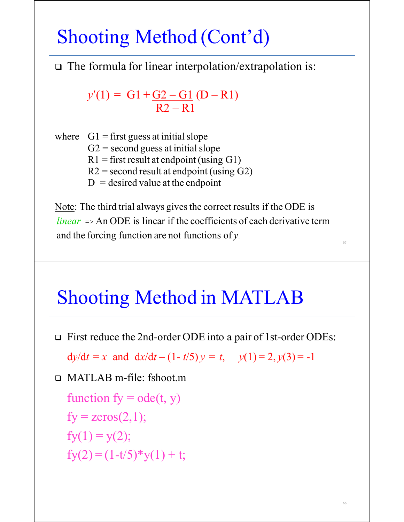### Shooting Method (Cont'd)

The formula for linear interpolation/extrapolation is:

 $y'(1) = G1 + G2 - G1 (D - R1)$  $R2 - R1$ 

where  $G1 =$  first guess at initial slope  $G2$  = second guess at initial slope  $R1 =$  first result at endpoint (using G1)  $R2$  = second result at endpoint (using G2)  $D =$  desired value at the endpoint

Note: The third trial always gives the correct results if the ODE is *linear*  $\equiv$   $\geq$  An ODE is linear if the coefficients of each derivative term and the forcing function are not functions of  $y$ .

#### Shooting Method in MATLAB

□ First reduce the 2nd-order ODE into a pair of 1st-order ODEs:

 $dy/dt = x$  and  $dx/dt - (1 - t/5)y = t$ ,  $y(1) = 2, y(3) = -1$ 

MATLAB m-file: fshoot.m

function  $fy = ode(t, y)$  $fy = zeros(2,1);$  $fy(1) = y(2);$  $f_{y}(2) = (1-t/5) * y(1) + t;$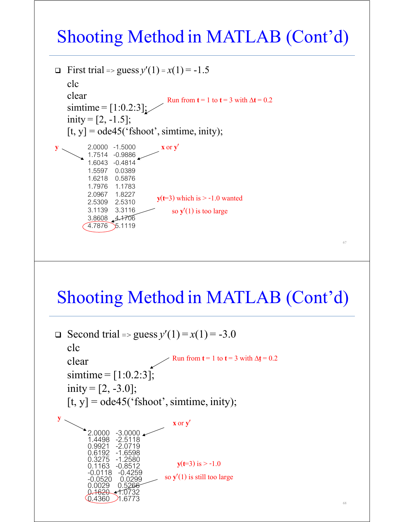#### Shooting Method in MATLAB (Cont'd)



#### Shooting Method in MATLAB (Cont'd)

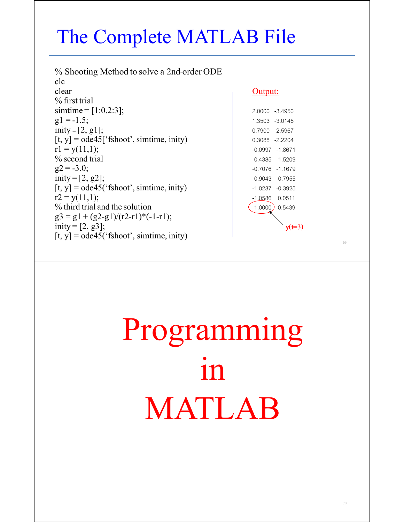# The Complete MATLAB File

% Shooting Method to solve a 2nd-order ODE clc clear Contract Contract Contract Contract Contract Contract Contract Contract Contract Contract Contract Contract Contract Contract Contract Contract Contract Contract Contract Contract Contract Contract Contract Contract % first trial  $\text{simtime} = [1:0.2:3];$  2.0000 -3.4950  $g1 = -1.5;$  1.3503 -3.0145  $\text{inity} = [2, g1];$  0.7900 -2.5967  $[t, y] = ode45['fshoot', simtime, inity)$  0.3088 -2.2204  $r1 = y(11,1);$  -0.0997 -1.8671 % second trial  $\frac{1}{2}$  -0.4385 -1.5209  $g2 = -3.0;$  -0.7076 -1.1679  $\text{inity} = [2, g2];$  -0.9043 -0.7955  $[t, y] = ode45('fshoot', simtime, unity)$  -1.0237 -0.3925  $r2 = y(11,1);$  -1.0586 0.0511 % third trial and the solution  $\left( \begin{array}{c} -1.0000 \end{array} \right)$  0.5439  $g3 = g1 + (g2-g1)/(r2-r1)^*(-1-r1);$ inity =  $[2, g3]$ ; [t, y] = ode45('fshoot', simtime, inity)

**y**(**t**=3)

# Programming  $1n$ MATLAB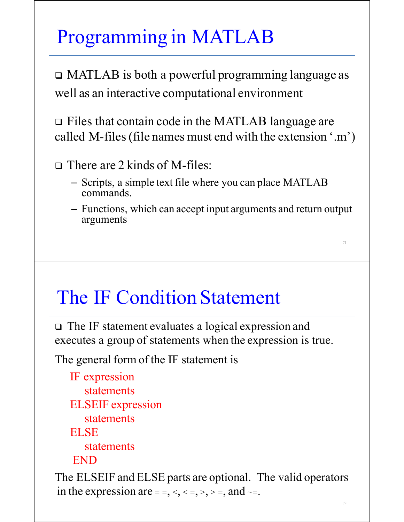# Programming in MATLAB

 MATLAB is both a powerful programming language as well as an interactive computational environment

 Files that contain code in the MATLAB language are called M-files(file names must end with the extension '.m')

□ There are 2 kinds of M-files:

- Scripts, a simple text file where you can place MATLAB commands.
- Functions, which can accept input arguments and return output arguments

#### The IF Condition Statement

 The IF statement evaluates a logical expression and executes a group of statements when the expression is true.

The general form of the IF statement is

 IF expression statements ELSEIF expression statements ELSE statements END

The ELSEIF and ELSE parts are optional. The valid operators in the expression are  $=$  =,  $\lt$ ,  $\lt$  =,  $\gt$ ,  $\gt$  =, and  $\lt$  =.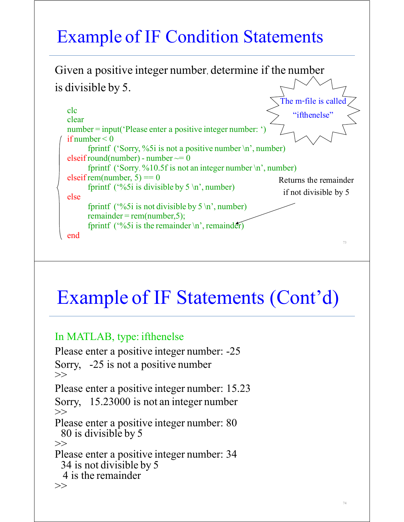#### Example of IF Condition Statements

Given a positive integer number, determine if the number is divisible by 5.



#### Example of IF Statements (Cont'd)

#### In MATLAB, type: ifthenelse

Please enter a positive integer number: -25 Sorry, -25 is not a positive number >> Please enter a positive integer number: 15.23 Sorry, 15.23000 is not an integer number  $\gg$ Please enter a positive integer number: 80<br>80 is divisible by 5  $\gg$ Please enter a positive integer number: 34<br>34 is not divisible by 5<br>4 is the remainder  $>>$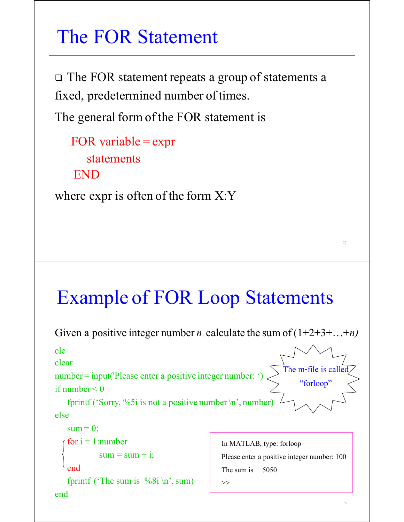#### The FOR Statement

 The FOR statement repeats a group of statements a fixed, predetermined number of times.

The general form of the FOR statement is

FOR variable  $=$  expr statements END

where expr is often of the form  $X:Y$ 

#### Example of FOR Loop Statements

```
Given a positive integer number n, calculate the sum of (1+2+3+\ldots+n)clc
clear
number = input('Please enter a positive integer number: ')
if number < 0fprintf ('Sorry, %5i is not a positive number \n', number)
else
   sum = 0;
   for i = 1: number
            sum = sum + i;\ell end
   fprintf ('The sum is \%8i \n\infty, sum)
end The m-file is
                                                                     "forloop"
                                               In MATLAB, type: forloop
                                               Please enter a positive integer number: 100
                                               The sum is 5050
                                               >>
```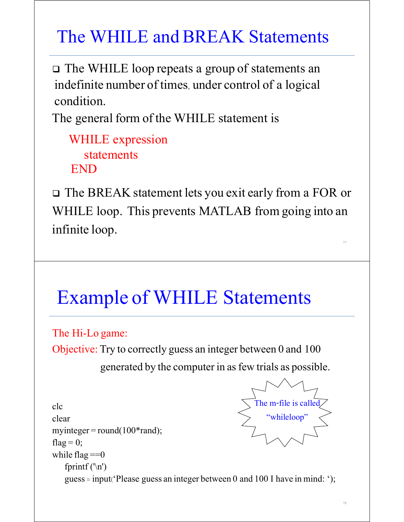#### The WHILE and BREAK Statements

 The WHILE loop repeats a group of statements an indefinite number of times, under control of a logical condition.

The general form of the WHILE statement is

 WHILE expression statements END

 The BREAK statement lets you exit early from a FOR or WHILE loop. This prevents MATLAB from going into an infinite loop.

### Example of WHILE Statements

The Hi-Lo game: Objective: Try to correctly guess an integer between 0 and 100 generated by the computer in asfew trials as possible.

clc clear myinteger = round( $100*$ rand); flag =  $0$ ; while  $flag == 0$ fprintf  $('n')$  guess = input('Please guess an integer between 0 and 100 I have in mind: '); The m-file is called "whileloop"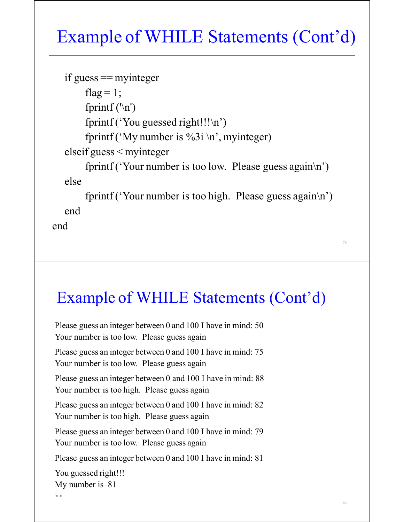#### Example of WHILE Statements (Cont'd)

```
if guess == myinteger
     flag = 1;
     fprintf ('n') fprintf ('You guessed right!!!\n')
     fprintf ('My number is %3i \n', myinteger)
 elseif guess < myinteger
     fprintf ('Your number is too low. Please guess again\langle n' \rangle)
 else
     fprintf ('Your number is too high. Please guess again\langle n' \rangle)
 end
```
end

#### Example of WHILE Statements (Cont'd)

79

80

Please guess an integer between 0 and 100 I have in mind: 50 Your number is too low. Please guess again

Please guess an integer between 0 and 100 I have in mind: 75 Your number is too low. Please guess again

Please guess an integer between 0 and 100 I have in mind: 88 Your number is too high. Please guess again

Please guess an integer between 0 and 100 I have in mind: 82 Your number is too high. Please guess again

Please guess an integer between 0 and 100 I have in mind: 79 Your number is too low. Please guess again

Please guess an integer between 0 and 100 I have in mind: 81

You guessed right!!! My number is 81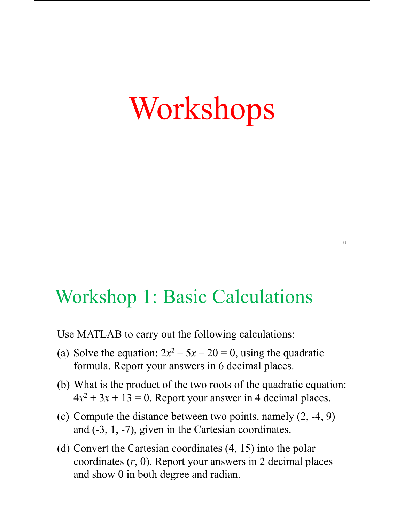# Workshops

81

#### Workshop 1: Basic Calculations

Use MATLAB to carry out the following calculations:

- (a) Solve the equation:  $2x^2 5x 20 = 0$ , using the quadratic formula. Report your answers in 6 decimal places.
- (b) What is the product of the two roots of the quadratic equation:  $4x^2 + 3x + 13 = 0$ . Report your answer in 4 decimal places.
- (c) Compute the distance between two points, namely (2, -4, 9) and (-3, 1, -7), given in the Cartesian coordinates.
- (d) Convert the Cartesian coordinates (4, 15) into the polar coordinates  $(r, \theta)$ . Report your answers in 2 decimal places and show  $\theta$  in both degree and radian.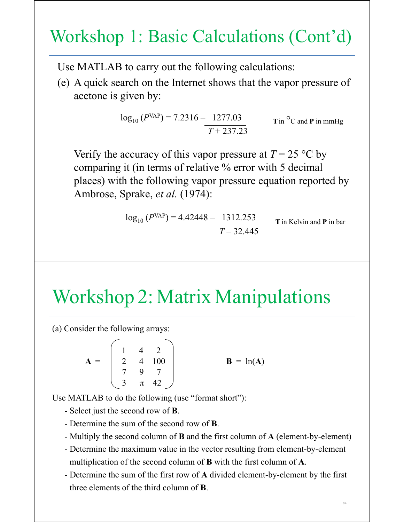#### Workshop 1: Basic Calculations (Cont'd)

Use MATLAB to carry out the following calculations:

(e) A quick search on the Internet shows that the vapor pressure of acetone is given by:

$$
\log_{10} (P^{\text{VAP}}) = 7.2316 - 1277.03
$$
 **T** in °C and **P** in mmHg

Verify the accuracy of this vapor pressure at  $T = 25$  °C by comparing it (in terms of relative % error with 5 decimal places) with the following vapor pressure equation reported by Ambrose, Sprake, *et al.* (1974):

$$
\log_{10}(P^{VAP}) = 4.42448 - \frac{1312.253}{T - 32.445}
$$

**T**in Kelvin and **P** in bar

#### Workshop 2: Matrix Manipulations

(a) Consider the following arrays:

$$
\mathbf{A} = \begin{bmatrix} 1 & 4 & 2 \\ 2 & 4 & 100 \\ 7 & 9 & 7 \\ 3 & \pi & 42 \end{bmatrix} \qquad \qquad \mathbf{B} = \ln(\mathbf{A})
$$

Use MATLAB to do the following (use "format short"):

- Select just the second row of **B**.

- Determine the sum of the second row of **B**.
- Multiply the second column of **B** and the first column of **A** (element-by-element)
- Determine the maximum value in the vector resulting from element-by-element multiplication of the second column of **B** with the first column of **A**.
- Determine the sum of the first row of **A** divided element-by-element by the first three elements of the third column of **B**.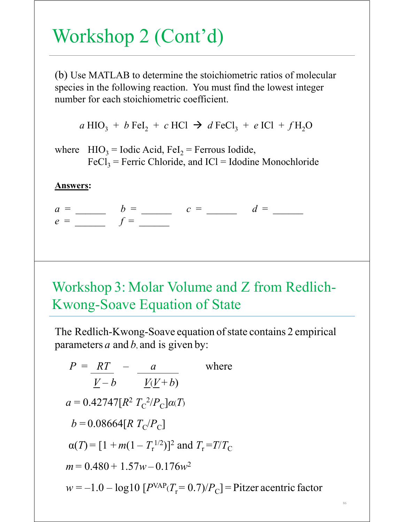## Workshop 2 (Cont'd)

(b) Use MATLAB to determine the stoichiometric ratios of molecular species in the following reaction. You must find the lowest integer number for each stoichiometric coefficient.

 $a$  HIO<sub>3</sub> + *b* FeI<sub>2</sub> + *c* HCl  $\rightarrow$  *d* FeCl<sub>3</sub> + *e* ICl + *f* H<sub>2</sub>O

where  $HIO_3 = Iodic Acid, Fel_2 = Ferrous Iodide,$  $FeCl<sub>3</sub>$  = Ferric Chloride, and ICl = Idodine Monochloride

#### **Answers:**

 $a = b = c = d =$  $e = f =$ 

#### Workshop 3: Molar Volume and Z from Redlich-Kwong-Soave Equation of State

The Redlich-Kwong-Soave equation of state contains 2 empirical parameters *a* and *b*, and is given by:

$$
P = \frac{RT}{V - b} - \frac{a}{V(V + b)}
$$
 where  
\n
$$
a = 0.42747[R^2 T_c^2/P_c]a(T)
$$
  
\n
$$
b = 0.08664[R T_c/P_c]
$$
  
\n
$$
\alpha(T) = [1 + m(1 - T_r^{1/2})]^2 \text{ and } T_r = T/T_c
$$
  
\n
$$
m = 0.480 + 1.57w - 0.176w^2
$$
  
\n
$$
w = -1.0 - \log 10 [P^{VAP}(T_r = 0.7)/P_c] = \text{Pitzer acentric factor}
$$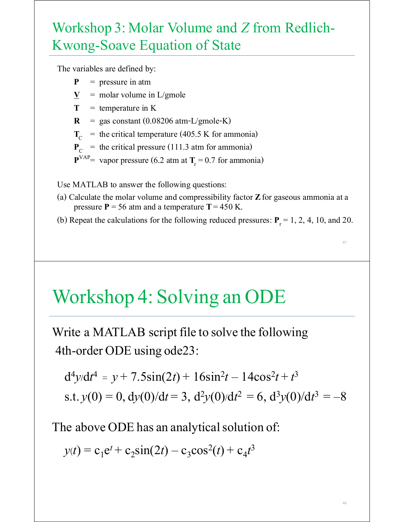#### Workshop 3: Molar Volume and *Z* from Redlich-Kwong-Soave Equation of State

The variables are defined by:

- **P** = pressure in atm
- $\underline{V}$  = molar volume in L/gmole
- $T =$  temperature in K
- $\mathbf{R}$  = gas constant (0.08206 atm-L/gmole-K)
- $T_c$  = the critical temperature (405.5 K for ammonia)
- $P_{C}$  = the critical pressure (111.3 atm for ammonia)
- ${\bf P}^{VAP}$  vapor pressure (6.2 atm at  ${\bf T}_r = 0.7$  for ammonia)

Use MATLAB to answer the following questions:

- (a) Calculate the molar volume and compressibility factor **Z**for gaseous ammonia at a pressure  $P = 56$  atm and a temperature  $T = 450$  K.
- (b) Repeat the calculations for the following reduced pressures:  $P_r = 1, 2, 4, 10,$  and 20.

87

88

#### Workshop 4: Solving an ODE

Write a MATLAB script file to solve the following 4th-order ODE using ode23:

$$
d^{4}y/dt^{4} = y + 7.5\sin(2t) + 16\sin^{2}t - 14\cos^{2}t + t^{3}
$$
  
s.t.  $y(0) = 0$ ,  $dy(0)/dt = 3$ ,  $d^{2}y(0)/dt^{2} = 6$ ,  $d^{3}y(0)/dt^{3} = -8$ 

The above ODE has an analytical solution of:

 $y(t) = c_1 e^t + c_2 \sin(2t) - c_3 \cos^2(t) + c_4 t^3$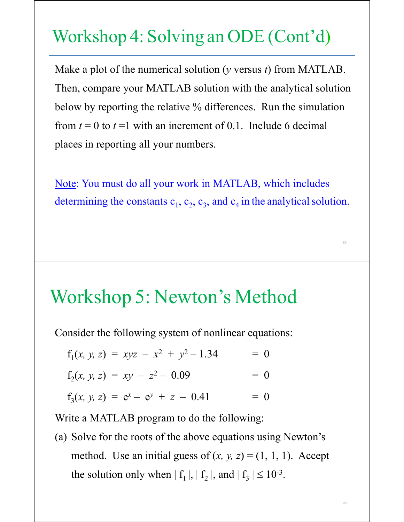#### Workshop 4: Solving an ODE (Cont'd)

Make a plot of the numerical solution (*y* versus *t*) from MATLAB. Then, compare your MATLAB solution with the analytical solution below by reporting the relative % differences. Run the simulation from  $t = 0$  to  $t = 1$  with an increment of 0.1. Include 6 decimal places in reporting all your numbers.

Note: You must do all your work in MATLAB, which includes determining the constants  $c_1$ ,  $c_2$ ,  $c_3$ , and  $c_4$  in the analytical solution.

89

90

#### Workshop 5: Newton's Method

Consider the following system of nonlinear equations:

$$
f_1(x, y, z) = xyz - x^2 + y^2 - 1.34 = 0
$$
  
\n
$$
f_2(x, y, z) = xy - z^2 - 0.09 = 0
$$
  
\n
$$
f_3(x, y, z) = e^x - e^y + z - 0.41 = 0
$$

Write a MATLAB program to do the following:

(a) Solve for the roots of the above equations using Newton's method. Use an initial guess of  $(x, y, z) = (1, 1, 1)$ . Accept the solution only when  $| f_1 |, | f_2 |,$  and  $| f_3 | \leq 10^{-3}$ .